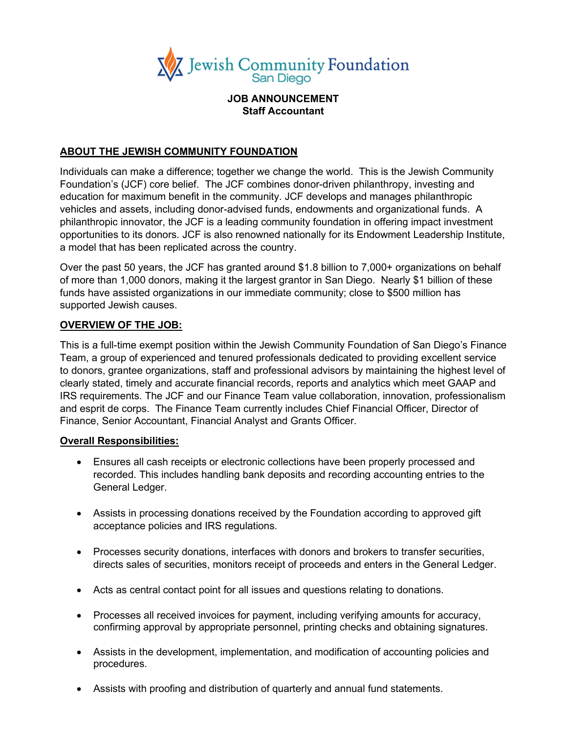

## **JOB ANNOUNCEMENT Staff Accountant**

## **ABOUT THE JEWISH COMMUNITY FOUNDATION**

Individuals can make a difference; together we change the world. This is the Jewish Community Foundation's (JCF) core belief. The JCF combines donor-driven philanthropy, investing and education for maximum benefit in the community. JCF develops and manages philanthropic vehicles and assets, including donor-advised funds, endowments and organizational funds. A philanthropic innovator, the JCF is a leading community foundation in offering impact investment opportunities to its donors. JCF is also renowned nationally for its Endowment Leadership Institute, a model that has been replicated across the country.

Over the past 50 years, the JCF has granted around \$1.8 billion to 7,000+ organizations on behalf of more than 1,000 donors, making it the largest grantor in San Diego. Nearly \$1 billion of these funds have assisted organizations in our immediate community; close to \$500 million has supported Jewish causes.

## **OVERVIEW OF THE JOB:**

This is a full-time exempt position within the Jewish Community Foundation of San Diego's Finance Team, a group of experienced and tenured professionals dedicated to providing excellent service to donors, grantee organizations, staff and professional advisors by maintaining the highest level of clearly stated, timely and accurate financial records, reports and analytics which meet GAAP and IRS requirements. The JCF and our Finance Team value collaboration, innovation, professionalism and esprit de corps. The Finance Team currently includes Chief Financial Officer, Director of Finance, Senior Accountant, Financial Analyst and Grants Officer.

#### **Overall Responsibilities:**

- Ensures all cash receipts or electronic collections have been properly processed and recorded. This includes handling bank deposits and recording accounting entries to the General Ledger.
- Assists in processing donations received by the Foundation according to approved gift acceptance policies and IRS regulations.
- Processes security donations, interfaces with donors and brokers to transfer securities, directs sales of securities, monitors receipt of proceeds and enters in the General Ledger.
- Acts as central contact point for all issues and questions relating to donations.
- Processes all received invoices for payment, including verifying amounts for accuracy, confirming approval by appropriate personnel, printing checks and obtaining signatures.
- Assists in the development, implementation, and modification of accounting policies and procedures.
- Assists with proofing and distribution of quarterly and annual fund statements.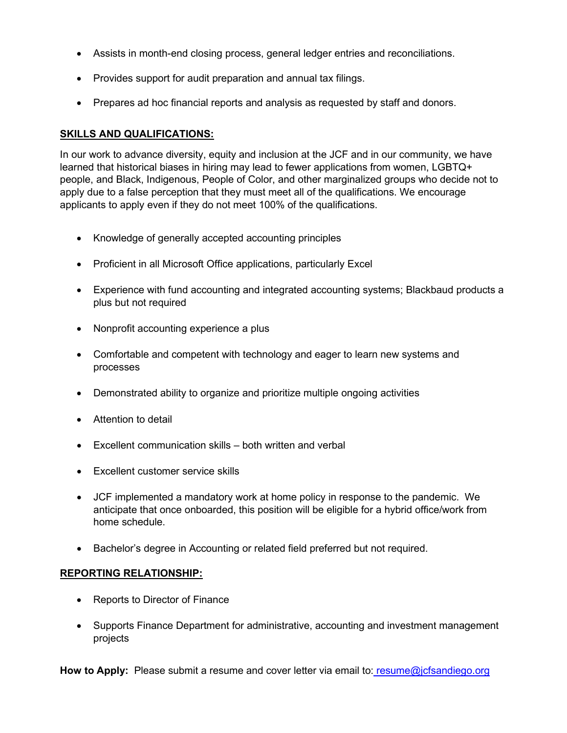- Assists in month-end closing process, general ledger entries and reconciliations.
- Provides support for audit preparation and annual tax filings.
- Prepares ad hoc financial reports and analysis as requested by staff and donors.

# **SKILLS AND QUALIFICATIONS:**

In our work to advance diversity, equity and inclusion at the JCF and in our community, we have learned that historical biases in hiring may lead to fewer applications from women, LGBTQ+ people, and Black, Indigenous, People of Color, and other marginalized groups who decide not to apply due to a false perception that they must meet all of the qualifications. We encourage applicants to apply even if they do not meet 100% of the qualifications.

- Knowledge of generally accepted accounting principles
- Proficient in all Microsoft Office applications, particularly Excel
- Experience with fund accounting and integrated accounting systems; Blackbaud products a plus but not required
- Nonprofit accounting experience a plus
- Comfortable and competent with technology and eager to learn new systems and processes
- Demonstrated ability to organize and prioritize multiple ongoing activities
- Attention to detail
- Excellent communication skills both written and verbal
- Excellent customer service skills
- JCF implemented a mandatory work at home policy in response to the pandemic. We anticipate that once onboarded, this position will be eligible for a hybrid office/work from home schedule.
- Bachelor's degree in Accounting or related field preferred but not required.

# **REPORTING RELATIONSHIP:**

- Reports to Director of Finance
- Supports Finance Department for administrative, accounting and investment management projects

**How to Apply:** Please submit a resume and cover letter via email to: [resume@jcfsandiego.org](mailto:resume@jcfsandiego.org)